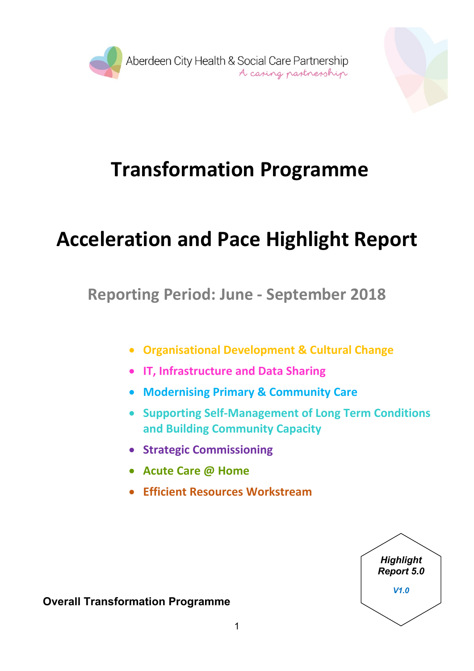



# **Transformation Programme**

# **Acceleration and Pace Highlight Report**

**Reporting Period: June - September 2018**

- **Organisational Development & Cultural Change**
- **IT, Infrastructure and Data Sharing**
- **Modernising Primary & Community Care**
- **Supporting Self-Management of Long Term Conditions and Building Community Capacity**
- **Strategic Commissioning**
- **Acute Care @ Home**
- **Efficient Resources Workstream**



**Overall Transformation Programme**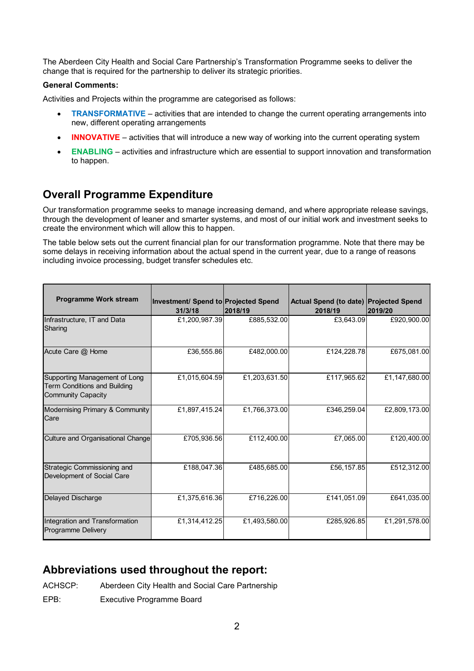The Aberdeen City Health and Social Care Partnership's Transformation Programme seeks to deliver the change that is required for the partnership to deliver its strategic priorities.

#### **General Comments:**

Activities and Projects within the programme are categorised as follows:

- **TRANSFORMATIVE** activities that are intended to change the current operating arrangements into new, different operating arrangements
- **INNOVATIVE** activities that will introduce a new way of working into the current operating system
- **ENABLING** activities and infrastructure which are essential to support innovation and transformation to happen.

### **Overall Programme Expenditure**

Our transformation programme seeks to manage increasing demand, and where appropriate release savings, through the development of leaner and smarter systems, and most of our initial work and investment seeks to create the environment which will allow this to happen.

The table below sets out the current financial plan for our transformation programme. Note that there may be some delays in receiving information about the actual spend in the current year, due to a range of reasons including invoice processing, budget transfer schedules etc.

| <b>Programme Work stream</b>                                                               | Investment/ Spend to Projected Spend<br>31/3/18 | 2018/19       | Actual Spend (to date) Projected Spend<br>2018/19 | 2019/20       |
|--------------------------------------------------------------------------------------------|-------------------------------------------------|---------------|---------------------------------------------------|---------------|
| Infrastructure, IT and Data<br>Sharing                                                     | £1,200,987.39                                   | £885,532.00   | £3,643.09                                         | £920,900.00   |
| Acute Care @ Home                                                                          | £36,555.86                                      | £482,000.00   | £124.228.78                                       | £675,081.00   |
| Supporting Management of Long<br><b>Term Conditions and Building</b><br>Community Capacity | £1,015,604.59                                   | £1,203,631.50 | £117,965.62                                       | £1,147,680.00 |
| Modernising Primary & Community<br>Care                                                    | £1,897,415.24                                   | £1,766,373.00 | £346,259.04                                       | £2,809,173.00 |
| Culture and Organisational Change                                                          | £705,936.56                                     | £112,400.00   | £7,065.00                                         | £120,400.00   |
| Strategic Commissioning and<br>Development of Social Care                                  | £188,047.36                                     | £485,685.00   | £56,157.85                                        | £512,312.00   |
| Delayed Discharge                                                                          | £1,375,616.36                                   | £716,226.00   | £141,051.09                                       | £641,035.00   |
| Integration and Transformation<br><b>Programme Delivery</b>                                | £1,314,412.25                                   | £1,493,580.00 | £285,926.85                                       | £1,291,578.00 |

#### **Abbreviations used throughout the report:**

ACHSCP: Aberdeen City Health and Social Care Partnership

EPB: Executive Programme Board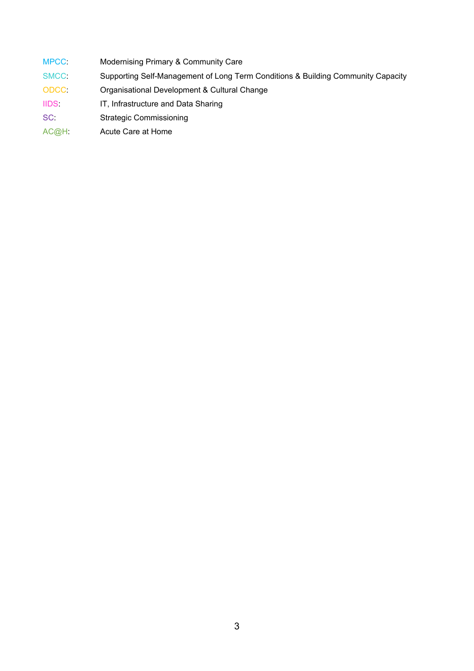- MPCC: Modernising Primary & Community Care
- SMCC: Supporting Self-Management of Long Term Conditions & Building Community Capacity
- ODCC: Organisational Development & Cultural Change
- IIDS: IT, Infrastructure and Data Sharing
- SC: Strategic Commissioning
- AC@H: Acute Care at Home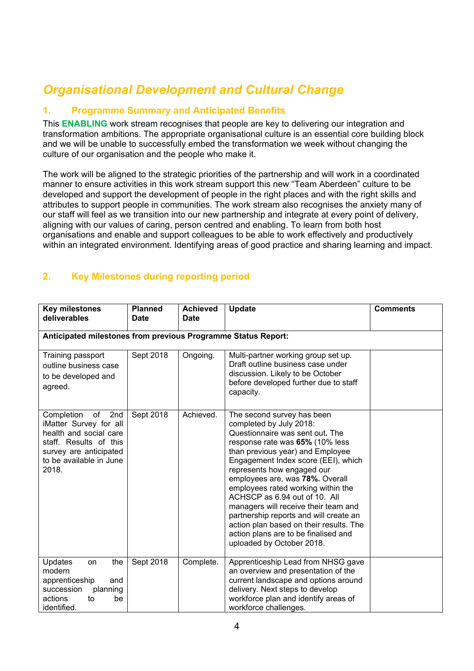## *Organisational Development and Cultural Change*

#### **1. Programme Summary and Anticipated Benefits**

This **ENABLING** work stream recognises that people are key to delivering our integration and transformation ambitions. The appropriate organisational culture is an essential core building block and we will be unable to successfully embed the transformation we week without changing the culture of our organisation and the people who make it.

The work will be aligned to the strategic priorities of the partnership and will work in a coordinated manner to ensure activities in this work stream support this new "Team Aberdeen" culture to be developed and support the development of people in the right places and with the right skills and attributes to support people in communities. The work stream also recognises the anxiety many of our staff will feel as we transition into our new partnership and integrate at every point of delivery, aligning with our values of caring, person centred and enabling. To learn from both host organisations and enable and support colleagues to be able to work effectively and productively within an integrated environment. Identifying areas of good practice and sharing learning and impact.

| <b>Key milestones</b><br>deliverables                                                                                                                               | <b>Planned</b><br><b>Date</b> | <b>Achieved</b><br><b>Date</b> | <b>Update</b>                                                                                                                                                                                                                                                                                                                                                                                                                                                                                                                                    | <b>Comments</b> |  |  |
|---------------------------------------------------------------------------------------------------------------------------------------------------------------------|-------------------------------|--------------------------------|--------------------------------------------------------------------------------------------------------------------------------------------------------------------------------------------------------------------------------------------------------------------------------------------------------------------------------------------------------------------------------------------------------------------------------------------------------------------------------------------------------------------------------------------------|-----------------|--|--|
| Anticipated milestones from previous Programme Status Report:                                                                                                       |                               |                                |                                                                                                                                                                                                                                                                                                                                                                                                                                                                                                                                                  |                 |  |  |
| Training passport<br>outline business case<br>to be developed and<br>agreed.                                                                                        | Sept 2018                     | Ongoing.                       | Multi-partner working group set up.<br>Draft outline business case under<br>discussion. Likely to be October<br>before developed further due to staff<br>capacity.                                                                                                                                                                                                                                                                                                                                                                               |                 |  |  |
| 2nd<br>Completion<br>of<br>iMatter Survey for all<br>health and social care<br>staff. Results of this<br>survey are anticipated<br>to be available in June<br>2018. | Sept 2018                     | Achieved.                      | The second survey has been<br>completed by July 2018:<br>Questionnaire was sent out. The<br>response rate was 65% (10% less<br>than previous year) and Employee<br>Engagement Index score (EEI), which<br>represents how engaged our<br>employees are, was 78%. Overall<br>employees rated working within the<br>ACHSCP as 6.94 out of 10. All<br>managers will receive their team and<br>partnership reports and will create an<br>action plan based on their results. The<br>action plans are to be finalised and<br>uploaded by October 2018. |                 |  |  |
| <b>Updates</b><br>the<br>on<br>modern<br>apprenticeship<br>and<br>succession<br>planning<br>actions<br>to<br>be<br>identified.                                      | Sept 2018                     | Complete.                      | Apprenticeship Lead from NHSG gave<br>an overview and presentation of the<br>current landscape and options around<br>delivery. Next steps to develop<br>workforce plan and identify areas of<br>workforce challenges.                                                                                                                                                                                                                                                                                                                            |                 |  |  |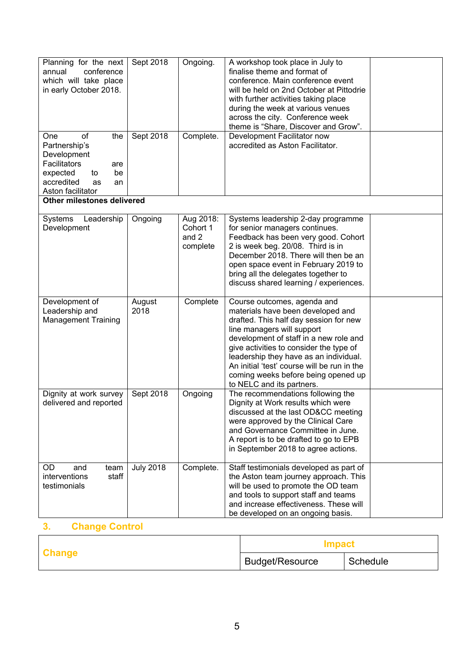| Planning for the next<br>annual<br>conference<br>which will take place<br>in early October 2018.                                               | Sept 2018        | Ongoing.                                   | A workshop took place in July to<br>finalise theme and format of<br>conference. Main conference event<br>will be held on 2nd October at Pittodrie<br>with further activities taking place<br>during the week at various venues<br>across the city. Conference week<br>theme is "Share, Discover and Grow".                                                                                 |  |
|------------------------------------------------------------------------------------------------------------------------------------------------|------------------|--------------------------------------------|--------------------------------------------------------------------------------------------------------------------------------------------------------------------------------------------------------------------------------------------------------------------------------------------------------------------------------------------------------------------------------------------|--|
| One<br>οf<br>the<br>Partnership's<br>Development<br>Facilitators<br>are<br>expected<br>be<br>to<br>accredited<br>as<br>an<br>Aston facilitator | Sept 2018        | Complete.                                  | Development Facilitator now<br>accredited as Aston Facilitator.                                                                                                                                                                                                                                                                                                                            |  |
| Other milestones delivered                                                                                                                     |                  |                                            |                                                                                                                                                                                                                                                                                                                                                                                            |  |
| Systems<br>Leadership<br>Development                                                                                                           | Ongoing          | Aug 2018:<br>Cohort 1<br>and 2<br>complete | Systems leadership 2-day programme<br>for senior managers continues.<br>Feedback has been very good. Cohort<br>2 is week beg. 20/08. Third is in<br>December 2018. There will then be an<br>open space event in February 2019 to<br>bring all the delegates together to<br>discuss shared learning / experiences.                                                                          |  |
| Development of<br>Leadership and<br><b>Management Training</b>                                                                                 | August<br>2018   | Complete                                   | Course outcomes, agenda and<br>materials have been developed and<br>drafted. This half day session for new<br>line managers will support<br>development of staff in a new role and<br>give activities to consider the type of<br>leadership they have as an individual.<br>An initial 'test' course will be run in the<br>coming weeks before being opened up<br>to NELC and its partners. |  |
| Dignity at work survey<br>delivered and reported                                                                                               | Sept 2018        | Ongoing                                    | The recommendations following the<br>Dignity at Work results which were<br>discussed at the last OD&CC meeting<br>were approved by the Clinical Care<br>and Governance Committee in June.<br>A report is to be drafted to go to EPB<br>in September 2018 to agree actions.                                                                                                                 |  |
| OD.<br>and<br>team<br>interventions<br>staff<br>testimonials                                                                                   | <b>July 2018</b> | Complete.                                  | Staff testimonials developed as part of<br>the Aston team journey approach. This<br>will be used to promote the OD team<br>and tools to support staff and teams<br>and increase effectiveness. These will<br>be developed on an ongoing basis.                                                                                                                                             |  |

|               | <b>Impact</b>   |          |  |
|---------------|-----------------|----------|--|
| <b>Change</b> | Budget/Resource | Schedule |  |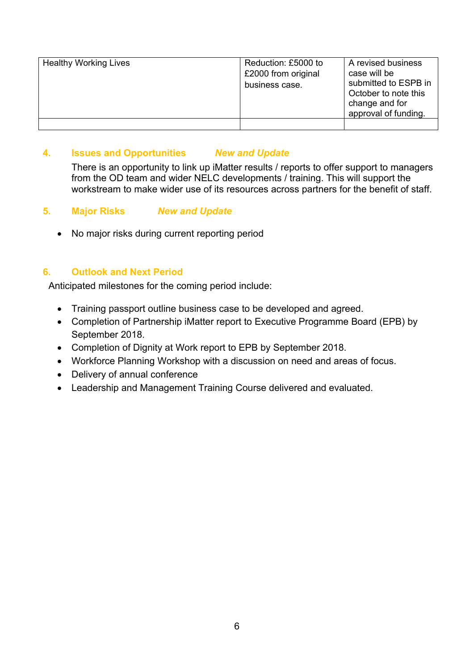| <b>Healthy Working Lives</b> | Reduction: £5000 to<br>£2000 from original<br>business case. | A revised business<br>case will be<br>submitted to ESPB in<br>October to note this<br>change and for<br>approval of funding. |
|------------------------------|--------------------------------------------------------------|------------------------------------------------------------------------------------------------------------------------------|
|                              |                                                              |                                                                                                                              |

#### **4. Issues and Opportunities** *New and Update*

There is an opportunity to link up iMatter results / reports to offer support to managers from the OD team and wider NELC developments / training. This will support the workstream to make wider use of its resources across partners for the benefit of staff.

#### **5. Major Risks** *New and Update*

• No major risks during current reporting period

#### **6. Outlook and Next Period**

Anticipated milestones for the coming period include:

- Training passport outline business case to be developed and agreed.
- Completion of Partnership iMatter report to Executive Programme Board (EPB) by September 2018.
- Completion of Dignity at Work report to EPB by September 2018.
- Workforce Planning Workshop with a discussion on need and areas of focus.
- Delivery of annual conference
- Leadership and Management Training Course delivered and evaluated.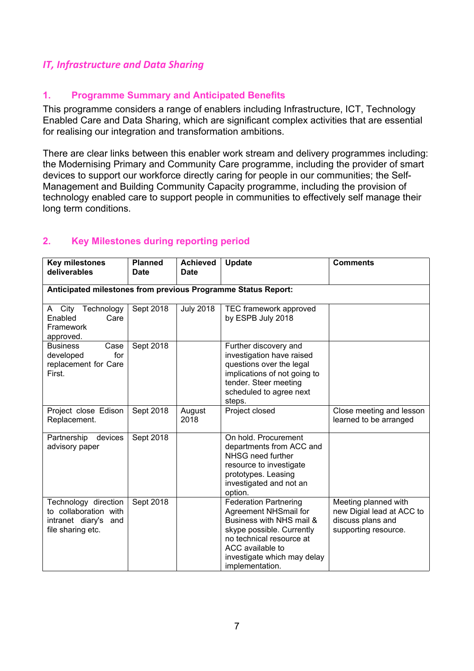#### *IT, Infrastructure and Data Sharing*

#### **1. Programme Summary and Anticipated Benefits**

This programme considers a range of enablers including Infrastructure, ICT, Technology Enabled Care and Data Sharing, which are significant complex activities that are essential for realising our integration and transformation ambitions.

There are clear links between this enabler work stream and delivery programmes including: the Modernising Primary and Community Care programme, including the provider of smart devices to support our workforce directly caring for people in our communities; the Self-Management and Building Community Capacity programme, including the provision of technology enabled care to support people in communities to effectively self manage their long term conditions.

| <b>Key milestones</b><br>deliverables                                                      | <b>Planned</b><br><b>Date</b> | <b>Achieved</b><br><b>Date</b> | Update                                                                                                                                                                                                           | <b>Comments</b>                                                                                |
|--------------------------------------------------------------------------------------------|-------------------------------|--------------------------------|------------------------------------------------------------------------------------------------------------------------------------------------------------------------------------------------------------------|------------------------------------------------------------------------------------------------|
| Anticipated milestones from previous Programme Status Report:                              |                               |                                |                                                                                                                                                                                                                  |                                                                                                |
| A City Technology<br>Enabled<br>Care<br>Framework<br>approved.                             | Sept 2018                     | <b>July 2018</b>               | TEC framework approved<br>by ESPB July 2018                                                                                                                                                                      |                                                                                                |
| <b>Business</b><br>Case<br>for<br>developed<br>replacement for Care<br>First.              | Sept 2018                     |                                | Further discovery and<br>investigation have raised<br>questions over the legal<br>implications of not going to<br>tender. Steer meeting<br>scheduled to agree next<br>steps.                                     |                                                                                                |
| Project close Edison<br>Replacement.                                                       | Sept 2018                     | August<br>2018                 | Project closed                                                                                                                                                                                                   | Close meeting and lesson<br>learned to be arranged                                             |
| Partnership<br>devices<br>advisory paper                                                   | Sept 2018                     |                                | On hold. Procurement<br>departments from ACC and<br>NHSG need further<br>resource to investigate<br>prototypes. Leasing<br>investigated and not an<br>option.                                                    |                                                                                                |
| Technology direction<br>to collaboration with<br>intranet diary's and<br>file sharing etc. | Sept 2018                     |                                | <b>Federation Partnering</b><br>Agreement NHSmail for<br>Business with NHS mail &<br>skype possible. Currently<br>no technical resource at<br>ACC available to<br>investigate which may delay<br>implementation. | Meeting planned with<br>new Digial lead at ACC to<br>discuss plans and<br>supporting resource. |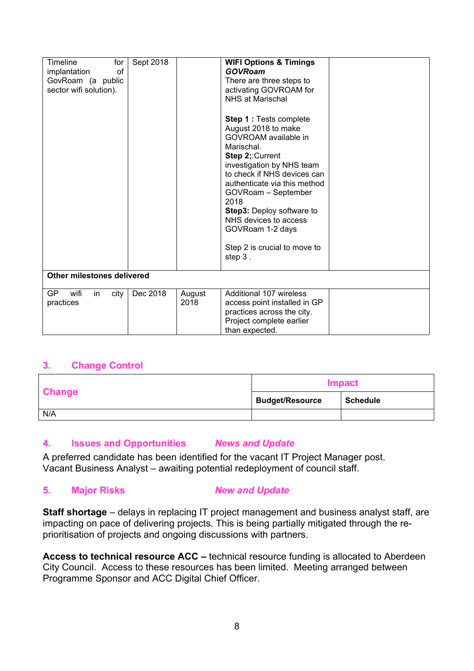| Timeline<br>for<br>implantation<br>οf<br>GovRoam (a public<br>sector wifi solution). | Sept 2018 |                | <b>WIFI Options &amp; Timings</b><br><b>GOVRoam</b><br>There are three steps to<br>activating GOVROAM for<br>NHS at Marischal<br><b>Step 1: Tests complete</b><br>August 2018 to make<br>GOVROAM available in<br>Marischal.<br>Step 2;: Current<br>investigation by NHS team<br>to check if NHS devices can<br>authenticate via this method<br>GOVRoam - September<br>2018<br>Step3: Deploy software to<br>NHS devices to access<br>GOVRoam 1-2 days<br>Step 2 is crucial to move to<br>step 3. |  |
|--------------------------------------------------------------------------------------|-----------|----------------|-------------------------------------------------------------------------------------------------------------------------------------------------------------------------------------------------------------------------------------------------------------------------------------------------------------------------------------------------------------------------------------------------------------------------------------------------------------------------------------------------|--|
| Other milestones delivered                                                           |           |                |                                                                                                                                                                                                                                                                                                                                                                                                                                                                                                 |  |
| <b>GP</b><br>wifi<br>in<br>city<br>practices                                         | Dec 2018  | August<br>2018 | Additional 107 wireless<br>access point installed in GP<br>practices across the city.<br>Project complete earlier<br>than expected.                                                                                                                                                                                                                                                                                                                                                             |  |

|               | <b>Impact</b>          |                 |  |
|---------------|------------------------|-----------------|--|
| <b>Change</b> | <b>Budget/Resource</b> | <b>Schedule</b> |  |
| N/A           |                        |                 |  |

#### **4. Issues and Opportunities** *News and Update*

A preferred candidate has been identified for the vacant IT Project Manager post. Vacant Business Analyst – awaiting potential redeployment of council staff.

#### **5. Major Risks** *New and Update*

**Staff shortage** – delays in replacing IT project management and business analyst staff, are impacting on pace of delivering projects. This is being partially mitigated through the reprioritisation of projects and ongoing discussions with partners.

**Access to technical resource ACC –** technical resource funding is allocated to Aberdeen City Council. Access to these resources has been limited. Meeting arranged between Programme Sponsor and ACC Digital Chief Officer.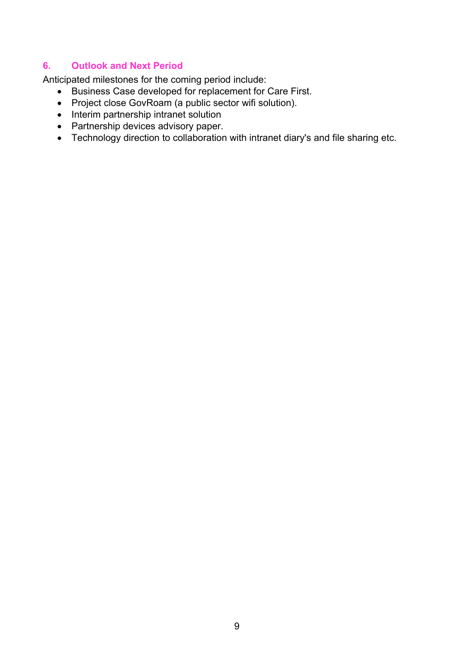#### **6. Outlook and Next Period**

Anticipated milestones for the coming period include:

- Business Case developed for replacement for Care First.
- Project close GovRoam (a public sector wifi solution).
- Interim partnership intranet solution
- Partnership devices advisory paper.
- Technology direction to collaboration with intranet diary's and file sharing etc.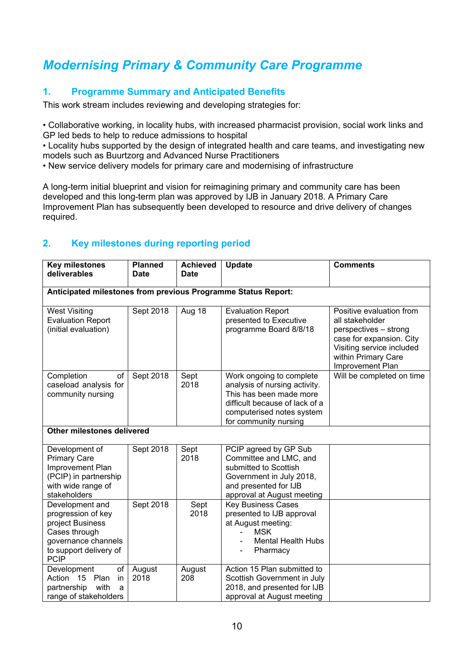## *Modernising Primary & Community Care Programme*

#### **1. Programme Summary and Anticipated Benefits**

This work stream includes reviewing and developing strategies for:

• Collaborative working, in locality hubs, with increased pharmacist provision, social work links and GP led beds to help to reduce admissions to hospital

• Locality hubs supported by the design of integrated health and care teams, and investigating new models such as Buurtzorg and Advanced Nurse Practitioners

• New service delivery models for primary care and modernising of infrastructure

A long-term initial blueprint and vision for reimagining primary and community care has been developed and this long-term plan was approved by IJB in January 2018. A Primary Care Improvement Plan has subsequently been developed to resource and drive delivery of changes required.

| <b>Key milestones</b><br>deliverables                                                                                                      | <b>Planned</b><br><b>Date</b> | <b>Achieved</b><br><b>Date</b> | Update                                                                                                                                                                       | <b>Comments</b>                                                                                                                                                          |
|--------------------------------------------------------------------------------------------------------------------------------------------|-------------------------------|--------------------------------|------------------------------------------------------------------------------------------------------------------------------------------------------------------------------|--------------------------------------------------------------------------------------------------------------------------------------------------------------------------|
| Anticipated milestones from previous Programme Status Report:                                                                              |                               |                                |                                                                                                                                                                              |                                                                                                                                                                          |
|                                                                                                                                            |                               |                                |                                                                                                                                                                              |                                                                                                                                                                          |
| <b>West Visiting</b><br><b>Evaluation Report</b><br>(initial evaluation)                                                                   | Sept 2018                     | Aug 18                         | <b>Evaluation Report</b><br>presented to Executive<br>programme Board 8/8/18                                                                                                 | Positive evaluation from<br>all stakeholder<br>perspectives - strong<br>case for expansion. City<br>Visiting service included<br>within Primary Care<br>Improvement Plan |
| Completion<br>οf<br>caseload analysis for<br>community nursing                                                                             | Sept 2018                     | Sept<br>2018                   | Work ongoing to complete<br>analysis of nursing activity.<br>This has been made more<br>difficult because of lack of a<br>computerised notes system<br>for community nursing | Will be completed on time                                                                                                                                                |
| Other milestones delivered                                                                                                                 |                               |                                |                                                                                                                                                                              |                                                                                                                                                                          |
| Development of<br><b>Primary Care</b><br>Improvement Plan<br>(PCIP) in partnership<br>with wide range of<br>stakeholders                   | Sept 2018                     | Sept<br>2018                   | PCIP agreed by GP Sub<br>Committee and LMC, and<br>submitted to Scottish<br>Government in July 2018,<br>and presented for IJB<br>approval at August meeting                  |                                                                                                                                                                          |
| Development and<br>progression of key<br>project Business<br>Cases through<br>governance channels<br>to support delivery of<br><b>PCIP</b> | Sept 2018                     | Sept<br>2018                   | <b>Key Business Cases</b><br>presented to IJB approval<br>at August meeting:<br><b>MSK</b><br>$\blacksquare$<br><b>Mental Health Hubs</b><br>Pharmacy                        |                                                                                                                                                                          |
| Development<br>of<br>Action 15 Plan<br>in<br>partnership<br>with<br>a<br>range of stakeholders                                             | August<br>2018                | August<br>208                  | Action 15 Plan submitted to<br>Scottish Government in July<br>2018, and presented for IJB<br>approval at August meeting                                                      |                                                                                                                                                                          |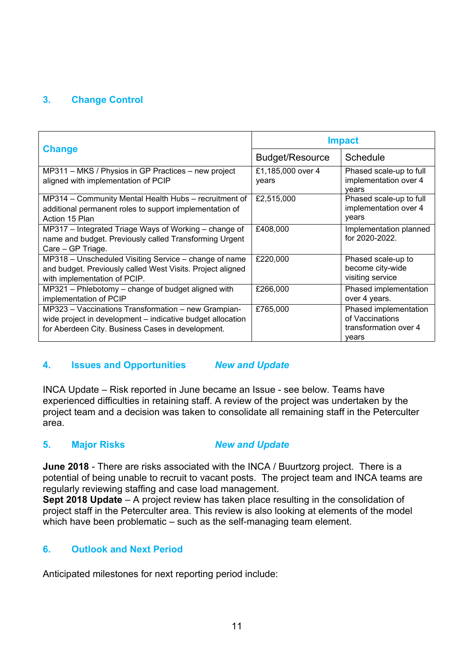|                                                                                                                                                                        | <b>Impact</b>              |                                                                            |  |
|------------------------------------------------------------------------------------------------------------------------------------------------------------------------|----------------------------|----------------------------------------------------------------------------|--|
| <b>Change</b>                                                                                                                                                          | <b>Budget/Resource</b>     | Schedule                                                                   |  |
| MP311 – MKS / Physios in GP Practices – new project<br>aligned with implementation of PCIP                                                                             | £1,185,000 over 4<br>years | Phased scale-up to full<br>implementation over 4<br>vears                  |  |
| MP314 – Community Mental Health Hubs – recruitment of<br>additional permanent roles to support implementation of<br>Action 15 Plan                                     | £2,515,000                 | Phased scale-up to full<br>implementation over 4<br>years                  |  |
| MP317 – Integrated Triage Ways of Working – change of<br>name and budget. Previously called Transforming Urgent<br>Care - GP Triage.                                   | £408,000                   | Implementation planned<br>for 2020-2022.                                   |  |
| MP318 - Unscheduled Visiting Service - change of name<br>and budget. Previously called West Visits. Project aligned<br>with implementation of PCIP.                    | £220,000                   | Phased scale-up to<br>become city-wide<br>visiting service                 |  |
| MP321 – Phlebotomy – change of budget aligned with<br>implementation of PCIP                                                                                           | £266,000                   | Phased implementation<br>over 4 years.                                     |  |
| MP323 - Vaccinations Transformation - new Grampian-<br>wide project in development – indicative budget allocation<br>for Aberdeen City. Business Cases in development. | £765,000                   | Phased implementation<br>of Vaccinations<br>transformation over 4<br>vears |  |

#### **4. Issues and Opportunities** *New and Update*

INCA Update – Risk reported in June became an Issue - see below. Teams have experienced difficulties in retaining staff. A review of the project was undertaken by the project team and a decision was taken to consolidate all remaining staff in the Peterculter area.

#### **5. Major Risks** *New and Update*

**June 2018** - There are risks associated with the INCA / Buurtzorg project. There is a potential of being unable to recruit to vacant posts. The project team and INCA teams are regularly reviewing staffing and case load management.

**Sept 2018 Update** – A project review has taken place resulting in the consolidation of project staff in the Peterculter area. This review is also looking at elements of the model which have been problematic – such as the self-managing team element.

#### **6. Outlook and Next Period**

Anticipated milestones for next reporting period include: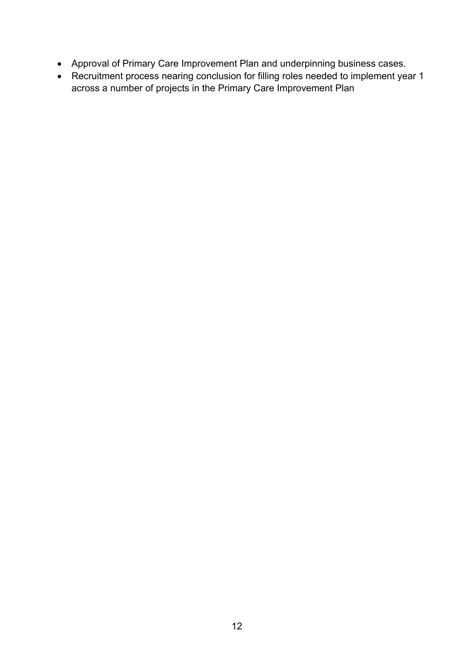- Approval of Primary Care Improvement Plan and underpinning business cases.
- Recruitment process nearing conclusion for filling roles needed to implement year 1 across a number of projects in the Primary Care Improvement Plan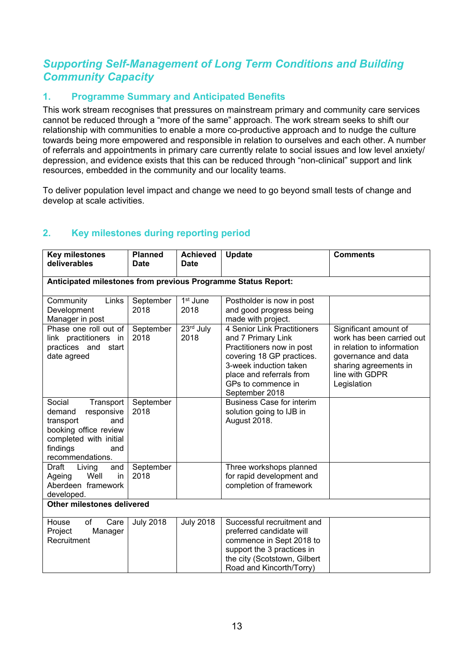#### *Supporting Self-Management of Long Term Conditions and Building Community Capacity*

#### **1. Programme Summary and Anticipated Benefits**

This work stream recognises that pressures on mainstream primary and community care services cannot be reduced through a "more of the same" approach. The work stream seeks to shift our relationship with communities to enable a more co-productive approach and to nudge the culture towards being more empowered and responsible in relation to ourselves and each other. A number of referrals and appointments in primary care currently relate to social issues and low level anxiety/ depression, and evidence exists that this can be reduced through "non-clinical" support and link resources, embedded in the community and our locality teams.

To deliver population level impact and change we need to go beyond small tests of change and develop at scale activities.

| <b>Key milestones</b><br>deliverables                                                                                                                     | <b>Planned</b><br><b>Date</b> | <b>Achieved</b><br><b>Date</b> | <b>Update</b>                                                                                                                                                                                             | <b>Comments</b>                                                                                                                                                   |  |
|-----------------------------------------------------------------------------------------------------------------------------------------------------------|-------------------------------|--------------------------------|-----------------------------------------------------------------------------------------------------------------------------------------------------------------------------------------------------------|-------------------------------------------------------------------------------------------------------------------------------------------------------------------|--|
|                                                                                                                                                           |                               |                                |                                                                                                                                                                                                           |                                                                                                                                                                   |  |
| Anticipated milestones from previous Programme Status Report:                                                                                             |                               |                                |                                                                                                                                                                                                           |                                                                                                                                                                   |  |
| Community<br>Links<br>Development<br>Manager in post                                                                                                      | September<br>2018             | 1 <sup>st</sup> June<br>2018   | Postholder is now in post<br>and good progress being<br>made with project.                                                                                                                                |                                                                                                                                                                   |  |
| Phase one roll out of<br>link practitioners in<br>practices and start<br>date agreed                                                                      | September<br>2018             | 23rd July<br>2018              | 4 Senior Link Practitioners<br>and 7 Primary Link<br>Practitioners now in post<br>covering 18 GP practices.<br>3-week induction taken<br>place and referrals from<br>GPs to commence in<br>September 2018 | Significant amount of<br>work has been carried out<br>in relation to information<br>governance and data<br>sharing agreements in<br>line with GDPR<br>Legislation |  |
| Social<br>Transport<br>responsive<br>demand<br>transport<br>and<br>booking office review<br>completed with initial<br>findings<br>and<br>recommendations. | September<br>2018             |                                | <b>Business Case for interim</b><br>solution going to IJB in<br>August 2018.                                                                                                                              |                                                                                                                                                                   |  |
| Draft<br>Living<br>and<br>Well<br>in<br>Ageing<br>Aberdeen framework<br>developed.                                                                        | September<br>2018             |                                | Three workshops planned<br>for rapid development and<br>completion of framework                                                                                                                           |                                                                                                                                                                   |  |
| Other milestones delivered                                                                                                                                |                               |                                |                                                                                                                                                                                                           |                                                                                                                                                                   |  |
| Care<br>House<br>οf<br>Project<br>Manager<br>Recruitment                                                                                                  | <b>July 2018</b>              | <b>July 2018</b>               | Successful recruitment and<br>preferred candidate will<br>commence in Sept 2018 to<br>support the 3 practices in<br>the city (Scotstown, Gilbert<br>Road and Kincorth/Torry)                              |                                                                                                                                                                   |  |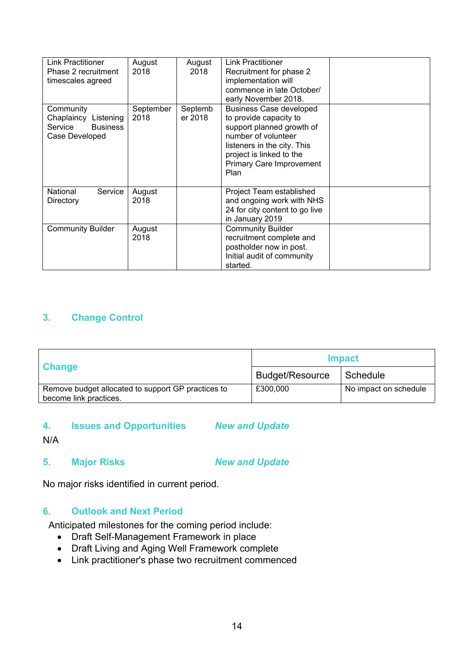| Link Practitioner<br>Phase 2 recruitment<br>timescales agreed                        | August<br>2018    | August<br>2018     | Link Practitioner<br>Recruitment for phase 2<br>implementation will<br>commence in late October/<br>early November 2018.                                                                                    |  |
|--------------------------------------------------------------------------------------|-------------------|--------------------|-------------------------------------------------------------------------------------------------------------------------------------------------------------------------------------------------------------|--|
| Community<br>Chaplaincy<br>Listening<br>Service<br><b>Business</b><br>Case Developed | September<br>2018 | Septemb<br>er 2018 | <b>Business Case developed</b><br>to provide capacity to<br>support planned growth of<br>number of volunteer<br>listeners in the city. This<br>project is linked to the<br>Primary Care Improvement<br>Plan |  |
| Service<br>National<br>Directory                                                     | August<br>2018    |                    | Project Team established<br>and ongoing work with NHS<br>24 for city content to go live<br>in January 2019                                                                                                  |  |
| <b>Community Builder</b>                                                             | August<br>2018    |                    | <b>Community Builder</b><br>recruitment complete and<br>postholder now in post.<br>Initial audit of community<br>started.                                                                                   |  |

|                                                                              | <b>Impact</b>          |                       |  |
|------------------------------------------------------------------------------|------------------------|-----------------------|--|
| <b>Change</b>                                                                | <b>Budget/Resource</b> | Schedule              |  |
| Remove budget allocated to support GP practices to<br>become link practices. | £300,000               | No impact on schedule |  |

### **4. Issues and Opportunities** *New and Update*

N/A

**5. Major Risks** *New and Update*

No major risks identified in current period.

#### **6. Outlook and Next Period**

Anticipated milestones for the coming period include:

- Draft Self-Management Framework in place
- Draft Living and Aging Well Framework complete
- Link practitioner's phase two recruitment commenced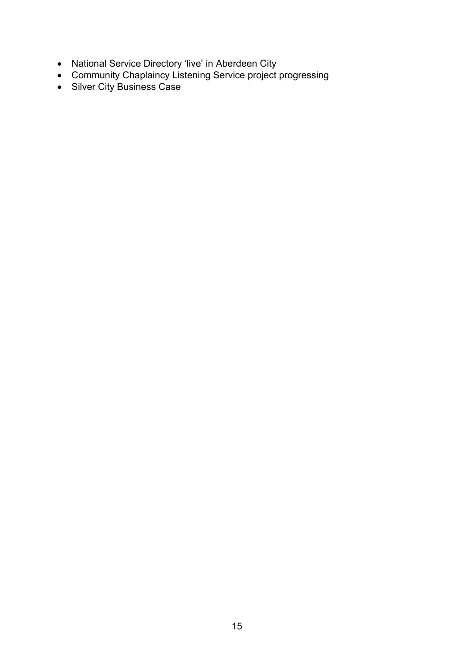- National Service Directory 'live' in Aberdeen City
- Community Chaplaincy Listening Service project progressing
- Silver City Business Case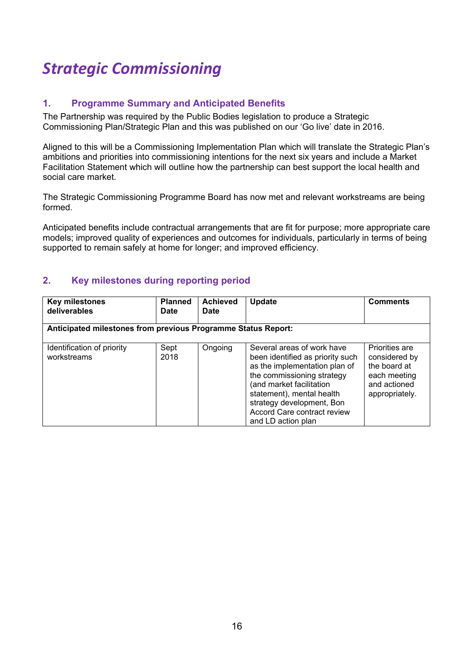# *Strategic Commissioning*

#### **1. Programme Summary and Anticipated Benefits**

The Partnership was required by the Public Bodies legislation to produce a Strategic Commissioning Plan/Strategic Plan and this was published on our 'Go live' date in 2016.

Aligned to this will be a Commissioning Implementation Plan which will translate the Strategic Plan's ambitions and priorities into commissioning intentions for the next six years and include a Market Facilitation Statement which will outline how the partnership can best support the local health and social care market.

The Strategic Commissioning Programme Board has now met and relevant workstreams are being formed.

Anticipated benefits include contractual arrangements that are fit for purpose; more appropriate care models; improved quality of experiences and outcomes for individuals, particularly in terms of being supported to remain safely at home for longer; and improved efficiency.

| <b>Key milestones</b><br>deliverables     | <b>Planned</b><br><b>Date</b>                                 | <b>Achieved</b><br><b>Date</b> | <b>Update</b>                                                                                                                                                                                                                                                            | <b>Comments</b>                                                                                   |  |  |  |
|-------------------------------------------|---------------------------------------------------------------|--------------------------------|--------------------------------------------------------------------------------------------------------------------------------------------------------------------------------------------------------------------------------------------------------------------------|---------------------------------------------------------------------------------------------------|--|--|--|
|                                           | Anticipated milestones from previous Programme Status Report: |                                |                                                                                                                                                                                                                                                                          |                                                                                                   |  |  |  |
| Identification of priority<br>workstreams | Sept<br>2018                                                  | Ongoing                        | Several areas of work have<br>been identified as priority such<br>as the implementation plan of<br>the commissioning strategy<br>(and market facilitation<br>statement), mental health<br>strategy development, Bon<br>Accord Care contract review<br>and LD action plan | Priorities are<br>considered by<br>the board at<br>each meeting<br>and actioned<br>appropriately. |  |  |  |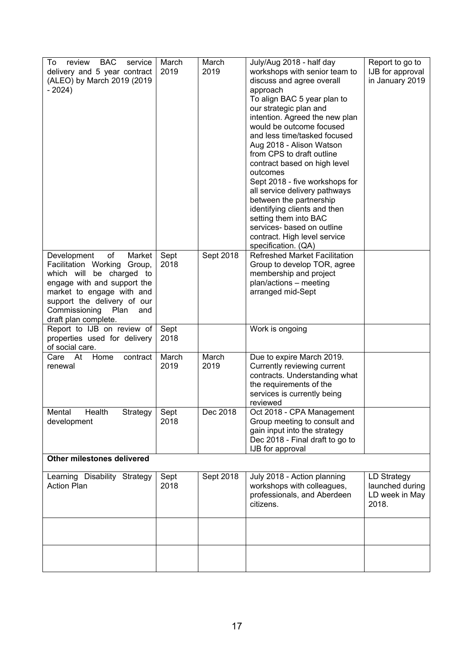| <b>BAC</b><br>To<br>review<br>service<br>delivery and 5 year contract<br>(ALEO) by March 2019 (2019<br>$-2024)$                                                                                                                           | March<br>2019 | March<br>2019 | July/Aug 2018 - half day<br>workshops with senior team to<br>discuss and agree overall<br>approach<br>To align BAC 5 year plan to<br>our strategic plan and<br>intention. Agreed the new plan<br>would be outcome focused<br>and less time/tasked focused<br>Aug 2018 - Alison Watson<br>from CPS to draft outline<br>contract based on high level<br>outcomes<br>Sept 2018 - five workshops for<br>all service delivery pathways<br>between the partnership<br>identifying clients and then<br>setting them into BAC<br>services- based on outline<br>contract. High level service<br>specification. (QA) | Report to go to<br>IJB for approval<br>in January 2019    |
|-------------------------------------------------------------------------------------------------------------------------------------------------------------------------------------------------------------------------------------------|---------------|---------------|------------------------------------------------------------------------------------------------------------------------------------------------------------------------------------------------------------------------------------------------------------------------------------------------------------------------------------------------------------------------------------------------------------------------------------------------------------------------------------------------------------------------------------------------------------------------------------------------------------|-----------------------------------------------------------|
| of<br>Development<br>Market<br>Facilitation Working Group,<br>which will be charged to<br>engage with and support the<br>market to engage with and<br>support the delivery of our<br>Commissioning<br>Plan<br>and<br>draft plan complete. | Sept<br>2018  | Sept 2018     | <b>Refreshed Market Facilitation</b><br>Group to develop TOR, agree<br>membership and project<br>plan/actions - meeting<br>arranged mid-Sept                                                                                                                                                                                                                                                                                                                                                                                                                                                               |                                                           |
| Report to IJB on review of<br>properties used for delivery<br>of social care.                                                                                                                                                             | Sept<br>2018  |               | Work is ongoing                                                                                                                                                                                                                                                                                                                                                                                                                                                                                                                                                                                            |                                                           |
| Home<br>Care At<br>contract<br>renewal                                                                                                                                                                                                    | March<br>2019 | March<br>2019 | Due to expire March 2019.<br>Currently reviewing current<br>contracts. Understanding what<br>the requirements of the<br>services is currently being<br>reviewed                                                                                                                                                                                                                                                                                                                                                                                                                                            |                                                           |
| Health<br>Strategy<br>Mental<br>development                                                                                                                                                                                               | Sept<br>2018  | Dec 2018      | Oct 2018 - CPA Management<br>Group meeting to consult and<br>gain input into the strategy<br>Dec 2018 - Final draft to go to<br>IJB for approval                                                                                                                                                                                                                                                                                                                                                                                                                                                           |                                                           |
| Other milestones delivered                                                                                                                                                                                                                |               |               |                                                                                                                                                                                                                                                                                                                                                                                                                                                                                                                                                                                                            |                                                           |
| Learning Disability Strategy<br><b>Action Plan</b>                                                                                                                                                                                        | Sept<br>2018  | Sept 2018     | July 2018 - Action planning<br>workshops with colleagues,<br>professionals, and Aberdeen<br>citizens.                                                                                                                                                                                                                                                                                                                                                                                                                                                                                                      | LD Strategy<br>launched during<br>LD week in May<br>2018. |
|                                                                                                                                                                                                                                           |               |               |                                                                                                                                                                                                                                                                                                                                                                                                                                                                                                                                                                                                            |                                                           |
|                                                                                                                                                                                                                                           |               |               |                                                                                                                                                                                                                                                                                                                                                                                                                                                                                                                                                                                                            |                                                           |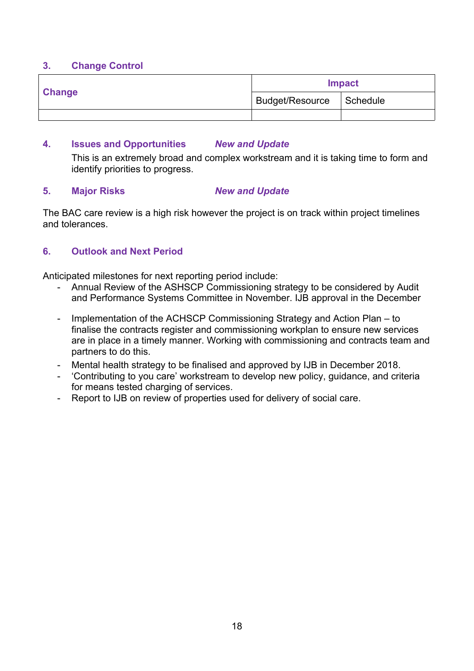|               | <b>Impact</b>              |  |  |
|---------------|----------------------------|--|--|
| <b>Change</b> | Budget/Resource   Schedule |  |  |
|               |                            |  |  |

#### **4. Issues and Opportunities** *New and Update*

This is an extremely broad and complex workstream and it is taking time to form and identify priorities to progress.

#### **5. Major Risks** *New and Update*

The BAC care review is a high risk however the project is on track within project timelines and tolerances.

#### **6. Outlook and Next Period**

Anticipated milestones for next reporting period include:

- Annual Review of the ASHSCP Commissioning strategy to be considered by Audit and Performance Systems Committee in November. IJB approval in the December
- Implementation of the ACHSCP Commissioning Strategy and Action Plan to finalise the contracts register and commissioning workplan to ensure new services are in place in a timely manner. Working with commissioning and contracts team and partners to do this.
- Mental health strategy to be finalised and approved by IJB in December 2018.
- 'Contributing to you care' workstream to develop new policy, guidance, and criteria for means tested charging of services.
- Report to IJB on review of properties used for delivery of social care.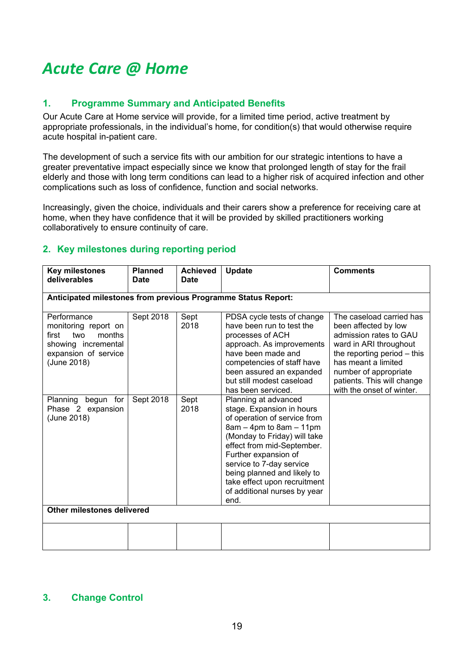# *Acute Care @ Home*

#### **1. Programme Summary and Anticipated Benefits**

Our Acute Care at Home service will provide, for a limited time period, active treatment by appropriate professionals, in the individual's home, for condition(s) that would otherwise require acute hospital in-patient care.

The development of such a service fits with our ambition for our strategic intentions to have a greater preventative impact especially since we know that prolonged length of stay for the frail elderly and those with long term conditions can lead to a higher risk of acquired infection and other complications such as loss of confidence, function and social networks.

Increasingly, given the choice, individuals and their carers show a preference for receiving care at home, when they have confidence that it will be provided by skilled practitioners working collaboratively to ensure continuity of care.

#### **2. Key milestones during reporting period**

| <b>Key milestones</b><br>deliverables                                                                                       | <b>Planned</b><br>Date | <b>Achieved</b><br>Date | Update                                                                                                                                                                                                                                                                                                                                    | <b>Comments</b>                                                                                                                                                                                                                                  |  |
|-----------------------------------------------------------------------------------------------------------------------------|------------------------|-------------------------|-------------------------------------------------------------------------------------------------------------------------------------------------------------------------------------------------------------------------------------------------------------------------------------------------------------------------------------------|--------------------------------------------------------------------------------------------------------------------------------------------------------------------------------------------------------------------------------------------------|--|
| Anticipated milestones from previous Programme Status Report:                                                               |                        |                         |                                                                                                                                                                                                                                                                                                                                           |                                                                                                                                                                                                                                                  |  |
| Performance<br>monitoring report on<br>first<br>two<br>months<br>showing incremental<br>expansion of service<br>(June 2018) | Sept 2018              | Sept<br>2018            | PDSA cycle tests of change<br>have been run to test the<br>processes of ACH<br>approach. As improvements<br>have been made and<br>competencies of staff have<br>been assured an expanded<br>but still modest caseload<br>has been serviced.                                                                                               | The caseload carried has<br>been affected by low<br>admission rates to GAU<br>ward in ARI throughout<br>the reporting period $-$ this<br>has meant a limited<br>number of appropriate<br>patients. This will change<br>with the onset of winter. |  |
| Planning<br>begun for<br>Phase 2 expansion<br>(June 2018)                                                                   | Sept 2018              | Sept<br>2018            | Planning at advanced<br>stage. Expansion in hours<br>of operation of service from<br>$8am - 4pm$ to $8am - 11pm$<br>(Monday to Friday) will take<br>effect from mid-September.<br>Further expansion of<br>service to 7-day service<br>being planned and likely to<br>take effect upon recruitment<br>of additional nurses by year<br>end. |                                                                                                                                                                                                                                                  |  |
| Other milestones delivered                                                                                                  |                        |                         |                                                                                                                                                                                                                                                                                                                                           |                                                                                                                                                                                                                                                  |  |
|                                                                                                                             |                        |                         |                                                                                                                                                                                                                                                                                                                                           |                                                                                                                                                                                                                                                  |  |

#### **3. Change Control**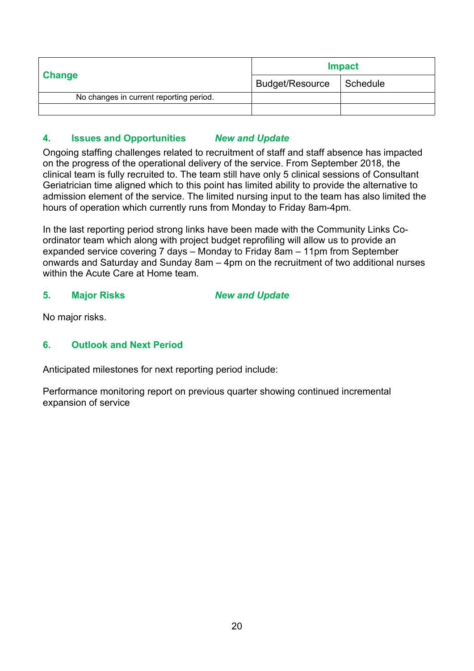|                                         | <b>Impact</b>          |          |  |
|-----------------------------------------|------------------------|----------|--|
| <b>Change</b>                           | <b>Budget/Resource</b> | Schedule |  |
| No changes in current reporting period. |                        |          |  |
|                                         |                        |          |  |

#### **4. Issues and Opportunities** *New and Update*

Ongoing staffing challenges related to recruitment of staff and staff absence has impacted on the progress of the operational delivery of the service. From September 2018, the clinical team is fully recruited to. The team still have only 5 clinical sessions of Consultant Geriatrician time aligned which to this point has limited ability to provide the alternative to admission element of the service. The limited nursing input to the team has also limited the hours of operation which currently runs from Monday to Friday 8am-4pm.

In the last reporting period strong links have been made with the Community Links Coordinator team which along with project budget reprofiling will allow us to provide an expanded service covering 7 days – Monday to Friday 8am – 11pm from September onwards and Saturday and Sunday 8am – 4pm on the recruitment of two additional nurses within the Acute Care at Home team.

#### **5. Major Risks** *New and Update*

No major risks.

#### **6. Outlook and Next Period**

Anticipated milestones for next reporting period include:

Performance monitoring report on previous quarter showing continued incremental expansion of service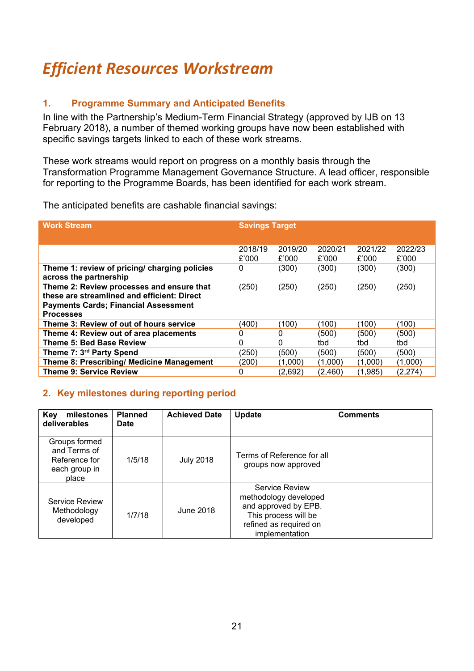# *Efficient Resources Workstream*

#### **1. Programme Summary and Anticipated Benefits**

In line with the Partnership's Medium-Term Financial Strategy (approved by IJB on 13 February 2018), a number of themed working groups have now been established with specific savings targets linked to each of these work streams.

These work streams would report on progress on a monthly basis through the Transformation Programme Management Governance Structure. A lead officer, responsible for reporting to the Programme Boards, has been identified for each work stream.

The anticipated benefits are cashable financial savings:

| <b>Work Stream</b>                                                                                                                                          | <b>Savings Target</b> |                  |                  |                  |                  |
|-------------------------------------------------------------------------------------------------------------------------------------------------------------|-----------------------|------------------|------------------|------------------|------------------|
|                                                                                                                                                             |                       |                  |                  |                  |                  |
|                                                                                                                                                             | 2018/19<br>£'000      | 2019/20<br>£'000 | 2020/21<br>£'000 | 2021/22<br>£'000 | 2022/23<br>£'000 |
| Theme 1: review of pricing/ charging policies<br>across the partnership                                                                                     | 0                     | (300)            | (300)            | (300)            | (300)            |
| Theme 2: Review processes and ensure that<br>these are streamlined and efficient: Direct<br><b>Payments Cards; Financial Assessment</b><br><b>Processes</b> | (250)                 | (250)            | (250)            | (250)            | (250)            |
| Theme 3: Review of out of hours service                                                                                                                     | (400)                 | (100)            | (100)            | (100)            | (100)            |
| Theme 4: Review out of area placements                                                                                                                      | 0                     | 0                | (500)            | (500)            | (500)            |
| Theme 5: Bed Base Review                                                                                                                                    | 0                     | 0                | tbd              | tbd              | tbd              |
| Theme 7: 3 <sup>rd</sup> Party Spend                                                                                                                        | (250)                 | (500)            | (500)            | (500)            | (500)            |
| Theme 8: Prescribing/ Medicine Management                                                                                                                   | (200)                 | (1,000)          | (1,000)          | (1,000)          | (1,000)          |
| <b>Theme 9: Service Review</b>                                                                                                                              | 0                     | (2,692)          | (2,460)          | (1,985)          | (2,274)          |

| milestones<br>Key<br>deliverables                                        | <b>Planned</b><br>Date | <b>Achieved Date</b> | Update                                                                                                                              | <b>Comments</b> |
|--------------------------------------------------------------------------|------------------------|----------------------|-------------------------------------------------------------------------------------------------------------------------------------|-----------------|
| Groups formed<br>and Terms of<br>Reference for<br>each group in<br>place | 1/5/18                 | <b>July 2018</b>     | Terms of Reference for all<br>groups now approved                                                                                   |                 |
| <b>Service Review</b><br>Methodology<br>developed                        | 1/7/18                 | June 2018            | Service Review<br>methodology developed<br>and approved by EPB.<br>This process will be<br>refined as required on<br>implementation |                 |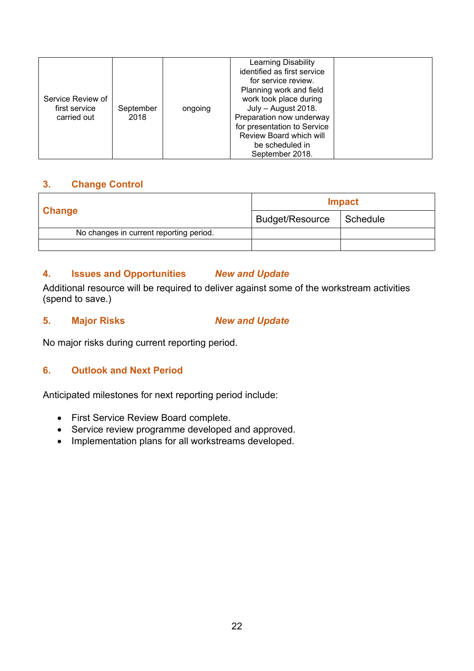| Service Review of<br>first service<br>carried out | September<br>2018 | ongoing | Learning Disability<br>identified as first service<br>for service review.<br>Planning work and field<br>work took place during<br>July - August 2018.<br>Preparation now underway<br>for presentation to Service<br>Review Board which will<br>be scheduled in<br>September 2018. |  |
|---------------------------------------------------|-------------------|---------|-----------------------------------------------------------------------------------------------------------------------------------------------------------------------------------------------------------------------------------------------------------------------------------|--|
|---------------------------------------------------|-------------------|---------|-----------------------------------------------------------------------------------------------------------------------------------------------------------------------------------------------------------------------------------------------------------------------------------|--|

|                                         | <b>Impact</b>          |          |  |
|-----------------------------------------|------------------------|----------|--|
| <b>Change</b>                           | <b>Budget/Resource</b> | Schedule |  |
| No changes in current reporting period. |                        |          |  |
|                                         |                        |          |  |

#### **4. Issues and Opportunities** *New and Update*

Additional resource will be required to deliver against some of the workstream activities (spend to save.)

#### **5. Major Risks** *New and Update*

No major risks during current reporting period.

#### **6. Outlook and Next Period**

Anticipated milestones for next reporting period include:

- First Service Review Board complete.
- Service review programme developed and approved.
- Implementation plans for all workstreams developed.